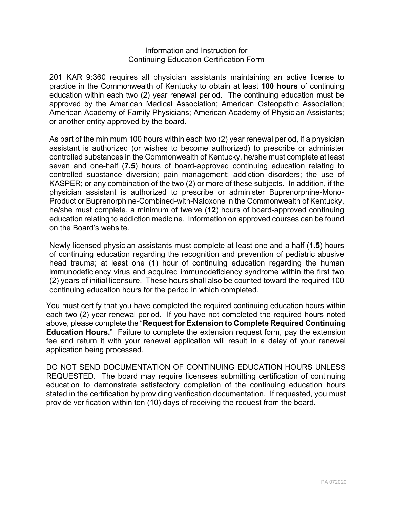## Information and Instruction for Continuing Education Certification Form

201 KAR 9:360 requires all physician assistants maintaining an active license to practice in the Commonwealth of Kentucky to obtain at least **100 hours** of continuing education within each two (2) year renewal period. The continuing education must be approved by the American Medical Association; American Osteopathic Association; American Academy of Family Physicians; American Academy of Physician Assistants; or another entity approved by the board.

As part of the minimum 100 hours within each two (2) year renewal period, if a physician assistant is authorized (or wishes to become authorized) to prescribe or administer controlled substances in the Commonwealth of Kentucky, he/she must complete at least seven and one-half (**7.5**) hours of board-approved continuing education relating to controlled substance diversion; pain management; addiction disorders; the use of KASPER; or any combination of the two (2) or more of these subjects. In addition, if the physician assistant is authorized to prescribe or administer Buprenorphine-Mono-Product or Buprenorphine-Combined-with-Naloxone in the Commonwealth of Kentucky, he/she must complete, a minimum of twelve (**12**) hours of board-approved continuing education relating to addiction medicine. Information on approved courses can be found on the Board's website.

Newly licensed physician assistants must complete at least one and a half (**1.5**) hours of continuing education regarding the recognition and prevention of pediatric abusive head trauma; at least one (**1**) hour of continuing education regarding the human immunodeficiency virus and acquired immunodeficiency syndrome within the first two (2) years of initial licensure. These hours shall also be counted toward the required 100 continuing education hours for the period in which completed.

You must certify that you have completed the required continuing education hours within each two (2) year renewal period. If you have not completed the required hours noted above, please complete the "**Request for Extension to Complete Required Continuing Education Hours.**" Failure to complete the extension request form, pay the extension fee and return it with your renewal application will result in a delay of your renewal application being processed.

DO NOT SEND DOCUMENTATION OF CONTINUING EDUCATION HOURS UNLESS REQUESTED. The board may require licensees submitting certification of continuing education to demonstrate satisfactory completion of the continuing education hours stated in the certification by providing verification documentation. If requested, you must provide verification within ten (10) days of receiving the request from the board.